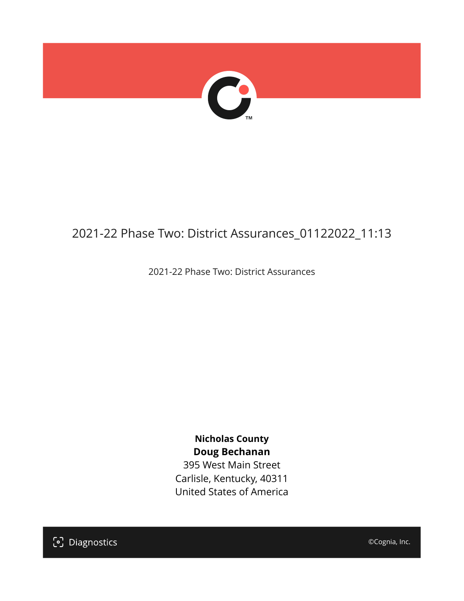

## 2021-22 Phase Two: District Assurances\_01122022\_11:13

2021-22 Phase Two: District Assurances

**Nicholas County Doug Bechanan** 395 West Main Street Carlisle, Kentucky, 40311 United States of America

[၁] Diagnostics

©Cognia, Inc.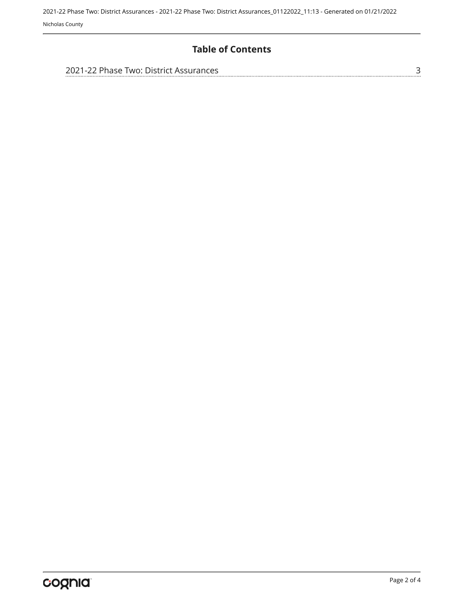#### **Table of Contents**

| 2021-22 Phase Two: District Assurances |  |
|----------------------------------------|--|
|                                        |  |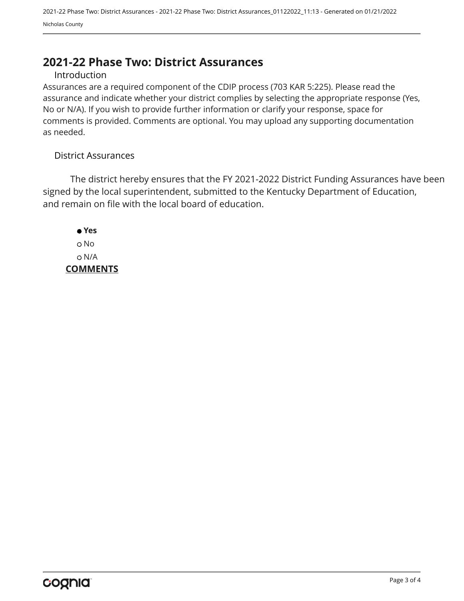### <span id="page-2-0"></span>**2021-22 Phase Two: District Assurances**

#### Introduction

Assurances are a required component of the CDIP process (703 KAR 5:225). Please read the assurance and indicate whether your district complies by selecting the appropriate response (Yes, No or N/A). If you wish to provide further information or clarify your response, space for comments is provided. Comments are optional. You may upload any supporting documentation as needed.

#### District Assurances

The district hereby ensures that the FY 2021-2022 District Funding Assurances have been signed by the local superintendent, submitted to the Kentucky Department of Education, and remain on file with the local board of education.

 **Yes** No N/A **COMMENTS**